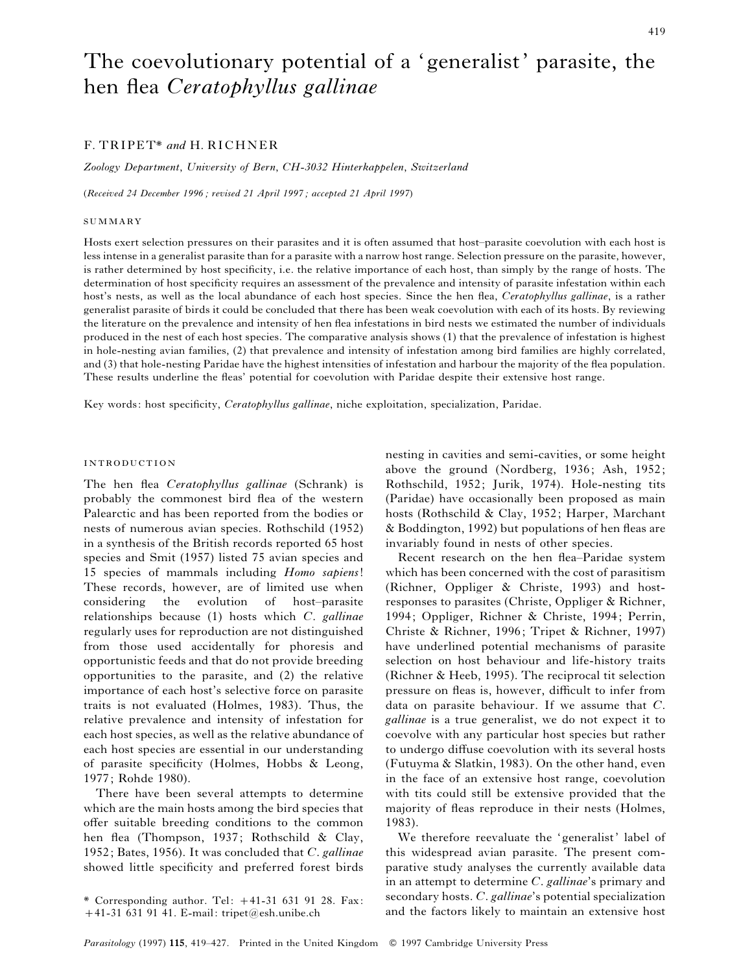# The coevolutionary potential of a 'generalist' parasite, the hen flea *Ceratophyllus gallinae*

# F. TRIPET\* *and* H. RICHNER

*Zoology Department*, *University of Bern*, *CH*-*3032 Hinterkappelen*, *Switzerland*

(*Received 24 December 1996; revised 21 April 1997; accepted 21 April 1997*)

## **SUMMARY**

Hosts exert selection pressures on their parasites and it is often assumed that host–parasite coevolution with each host is less intense in a generalist parasite than for a parasite with a narrow host range. Selection pressure on the parasite, however, is rather determined by host specificity, i.e. the relative importance of each host, than simply by the range of hosts. The determination of host specificity requires an assessment of the prevalence and intensity of parasite infestation within each host's nests, as well as the local abundance of each host species. Since the hen flea, *Ceratophyllus gallinae*, is a rather generalist parasite of birds it could be concluded that there has been weak coevolution with each of its hosts. By reviewing the literature on the prevalence and intensity of hen flea infestations in bird nests we estimated the number of individuals produced in the nest of each host species. The comparative analysis shows (1) that the prevalence of infestation is highest in hole-nesting avian families, (2) that prevalence and intensity of infestation among bird families are highly correlated, and (3) that hole-nesting Paridae have the highest intensities of infestation and harbour the majority of the flea population. These results underline the fleas' potential for coevolution with Paridae despite their extensive host range.

Key words: host specificity, *Ceratophyllus gallinae*, niche exploitation, specialization, Paridae.

#### **INTRODUCTION**

The hen flea *Ceratophyllus gallinae* (Schrank) is probably the commonest bird flea of the western Palearctic and has been reported from the bodies or nests of numerous avian species. Rothschild (1952) in a synthesis of the British records reported 65 host species and Smit (1957) listed 75 avian species and 15 species of mammals including *Homo sapiens*! These records, however, are of limited use when considering the evolution of host–parasite relationships because (1) hosts which *C*. *gallinae* regularly uses for reproduction are not distinguished from those used accidentally for phoresis and opportunistic feeds and that do not provide breeding opportunities to the parasite, and (2) the relative importance of each host's selective force on parasite traits is not evaluated (Holmes, 1983). Thus, the relative prevalence and intensity of infestation for each host species, as well as the relative abundance of each host species are essential in our understanding of parasite specificity (Holmes, Hobbs & Leong, 1977; Rohde 1980).

There have been several attempts to determine which are the main hosts among the bird species that offer suitable breeding conditions to the common hen flea (Thompson, 1937; Rothschild & Clay, 1952; Bates, 1956). It was concluded that *C*. *gallinae* showed little specificity and preferred forest birds nesting in cavities and semi-cavities, or some height above the ground (Nordberg, 1936; Ash, 1952; Rothschild, 1952; Jurik, 1974). Hole-nesting tits (Paridae) have occasionally been proposed as main hosts (Rothschild & Clay, 1952; Harper, Marchant & Boddington, 1992) but populations of hen fleas are invariably found in nests of other species.

Recent research on the hen flea–Paridae system which has been concerned with the cost of parasitism (Richner, Oppliger & Christe, 1993) and hostresponses to parasites (Christe, Oppliger & Richner, 1994; Oppliger, Richner & Christe, 1994; Perrin, Christe & Richner, 1996; Tripet & Richner, 1997) have underlined potential mechanisms of parasite selection on host behaviour and life-history traits (Richner & Heeb, 1995). The reciprocal tit selection pressure on fleas is, however, difficult to infer from data on parasite behaviour. If we assume that *C*. *gallinae* is a true generalist, we do not expect it to coevolve with any particular host species but rather to undergo diffuse coevolution with its several hosts (Futuyma & Slatkin, 1983). On the other hand, even in the face of an extensive host range, coevolution with tits could still be extensive provided that the majority of fleas reproduce in their nests (Holmes, 1983).

We therefore reevaluate the 'generalist' label of this widespread avian parasite. The present comparative study analyses the currently available data in an attempt to determine *C*. *gallinae*'s primary and secondary hosts. *C*. *gallinae*'s potential specialization and the factors likely to maintain an extensive host

<sup>\*</sup> Corresponding author. Tel:  $+41-31$  631 91 28. Fax:  $+41-31$  631 91 41. E-mail: tripet@esh.unibe.ch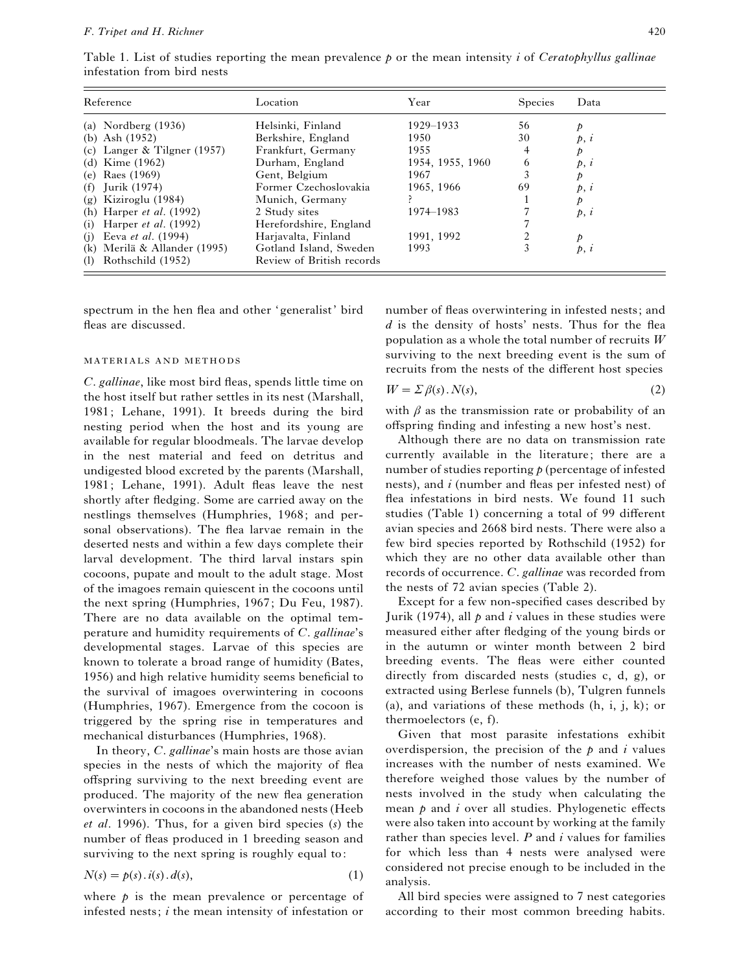Table 1. List of studies reporting the mean prevalence *p* or the mean intensity *i* of *Ceratophyllus gallinae* infestation from bird nests

| Reference                         | Location                  | Year             | <b>Species</b> | Data          |
|-----------------------------------|---------------------------|------------------|----------------|---------------|
| (a) Nordberg $(1936)$             | Helsinki, Finland         | 1929–1933        | 56             | p             |
| (b) Ash $(1952)$                  | Berkshire, England        | 1950             | 30             | p, i          |
| (c) Langer $&$ Tilgner (1957)     | Frankfurt, Germany        | 1955             | 4              | $\mathcal{P}$ |
| (d) Kime $(1962)$                 | Durham, England           | 1954, 1955, 1960 | 6              | p, i          |
| (e) Raes $(1969)$                 | Gent, Belgium             | 1967             |                | $\mathcal{P}$ |
| $(f)$ Jurik $(1974)$              | Former Czechoslovakia     | 1965, 1966       | 69             | p, i          |
| $(g)$ Kiziroglu (1984)            | Munich, Germany           |                  |                | $\mathcal{P}$ |
| (h) Harper <i>et al.</i> $(1992)$ | 2 Study sites             | 1974–1983        |                | p, i          |
| (i) Harper <i>et al.</i> $(1992)$ | Herefordshire, England    |                  |                |               |
| Eeva et al. (1994)<br>(i)         | Harjavalta, Finland       | 1991, 1992       |                | p             |
| $(k)$ Merilä & Allander (1995)    | Gotland Island, Sweden    | 1993             |                | p, i          |
| $(l)$ Rothschild $(1952)$         | Review of British records |                  |                |               |

spectrum in the hen flea and other 'generalist' bird fleas are discussed.

## MATERIALS AND METHODS

*C*. *gallinae*, like most bird fleas, spends little time on the host itself but rather settles in its nest (Marshall, 1981; Lehane, 1991). It breeds during the bird nesting period when the host and its young are available for regular bloodmeals. The larvae develop in the nest material and feed on detritus and undigested blood excreted by the parents (Marshall, 1981; Lehane, 1991). Adult fleas leave the nest shortly after fledging. Some are carried away on the nestlings themselves (Humphries, 1968; and personal observations). The flea larvae remain in the deserted nests and within a few days complete their larval development. The third larval instars spin cocoons, pupate and moult to the adult stage. Most of the imagoes remain quiescent in the cocoons until the next spring (Humphries, 1967; Du Feu, 1987). There are no data available on the optimal temperature and humidity requirements of *C*. *gallinae*'s developmental stages. Larvae of this species are known to tolerate a broad range of humidity (Bates, 1956) and high relative humidity seems beneficial to the survival of imagoes overwintering in cocoons (Humphries, 1967). Emergence from the cocoon is triggered by the spring rise in temperatures and mechanical disturbances (Humphries, 1968).

In theory, *C*. *gallinae*'s main hosts are those avian species in the nests of which the majority of flea offspring surviving to the next breeding event are produced. The majority of the new flea generation overwinters in cocoons in the abandoned nests (Heeb *et al*. 1996). Thus, for a given bird species (*s*) the number of fleas produced in 1 breeding season and surviving to the next spring is roughly equal to:

$$
N(s) = p(s) \cdot i(s) \cdot d(s),\tag{1}
$$

where  $p$  is the mean prevalence or percentage of infested nests; *i* the mean intensity of infestation or

number of fleas overwintering in infested nests; and *d* is the density of hosts' nests. Thus for the flea population as a whole the total number of recruits *W* surviving to the next breeding event is the sum of recruits from the nests of the different host species

$$
W = \Sigma \beta(s) \cdot N(s),\tag{2}
$$

with  $\beta$  as the transmission rate or probability of an offspring finding and infesting a new host's nest.

Although there are no data on transmission rate currently available in the literature; there are a number of studies reporting *p* (percentage of infested nests), and *i* (number and fleas per infested nest) of flea infestations in bird nests. We found 11 such studies (Table 1) concerning a total of 99 different avian species and 2668 bird nests. There were also a few bird species reported by Rothschild (1952) for which they are no other data available other than records of occurrence. *C*. *gallinae* was recorded from the nests of 72 avian species (Table 2).

Except for a few non-specified cases described by Jurik (1974), all *p* and *i* values in these studies were measured either after fledging of the young birds or in the autumn or winter month between 2 bird breeding events. The fleas were either counted directly from discarded nests (studies c, d, g), or extracted using Berlese funnels (b), Tulgren funnels (a), and variations of these methods (h, i, j, k); or thermoelectors (e, f).

Given that most parasite infestations exhibit overdispersion, the precision of the  $p$  and  $i$  values increases with the number of nests examined. We therefore weighed those values by the number of nests involved in the study when calculating the mean *p* and *i* over all studies. Phylogenetic effects were also taken into account by working at the family rather than species level. *P* and *i* values for families for which less than 4 nests were analysed were considered not precise enough to be included in the analysis.

All bird species were assigned to 7 nest categories according to their most common breeding habits.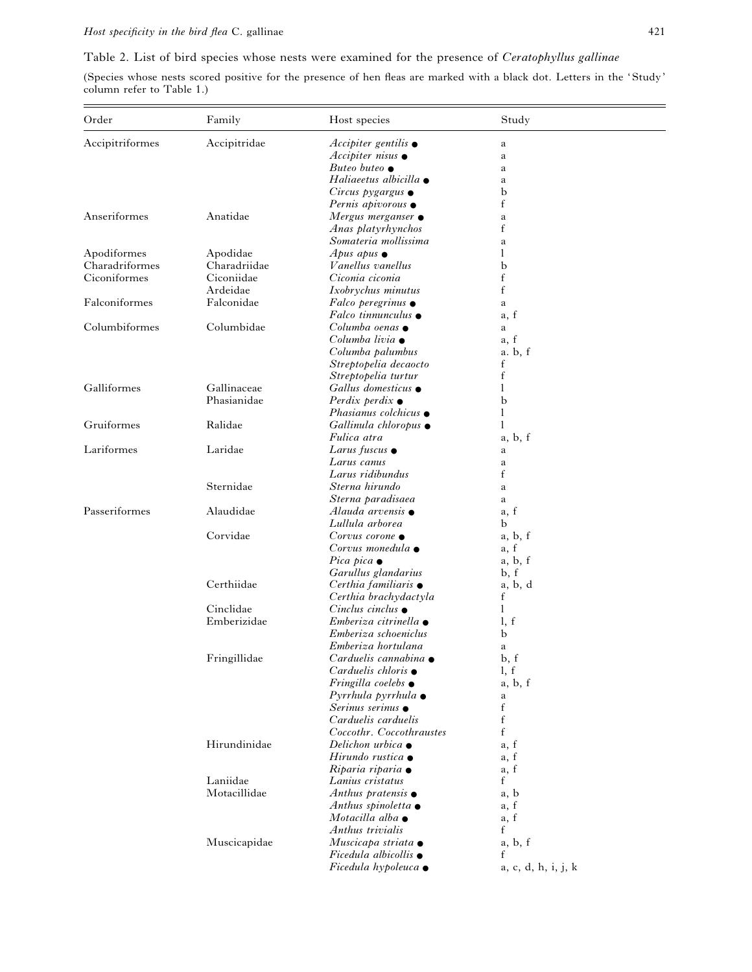(Species whose nests scored positive for the presence of hen fleas are marked with a black dot. Letters in the 'Study' column refer to Table 1.)

| Order           | Family       | Host species                                              | Study               |
|-----------------|--------------|-----------------------------------------------------------|---------------------|
| Accipitriformes | Accipitridae | Accipiter gentilis $\bullet$                              | $\rm{a}$            |
|                 |              | Accipiter nisus $\bullet$                                 | a                   |
|                 |              | Buteo buteo $\bullet$                                     | a                   |
|                 |              | Haliaeetus albicilla $\bullet$                            | a                   |
|                 |              | <i>Circus pygargus</i> $\bullet$                          | b                   |
|                 |              | Pernis apivorous $\bullet$                                | $\mathbf f$         |
| Anseriformes    | Anatidae     | Mergus merganser $\bullet$                                | a                   |
|                 |              | Anas platyrhynchos                                        | f                   |
|                 |              | Somateria mollissima                                      | a                   |
| Apodiformes     | Apodidae     | $A$ pus apus $\bullet$                                    | 1                   |
| Charadriformes  | Charadriidae | Vanellus vanellus                                         | b                   |
| Ciconiformes    | Ciconiidae   | Ciconia ciconia                                           | f                   |
|                 | Ardeidae     | Ixobrychus minutus                                        | $\mathbf f$         |
| Falconiformes   | Falconidae   | <i>Falco peregrinus</i> $\bullet$                         | a                   |
|                 |              | $Falco$ tinnunculus $\bullet$                             | a, f                |
| Columbiformes   | Columbidae   | Columba oenas $\bullet$                                   | $\rm{a}$            |
|                 |              | Columba livia $\bullet$                                   | a, f                |
|                 |              | Columba palumbus                                          | a. b, f             |
|                 |              | Streptopelia decaocto                                     | f                   |
|                 |              | Streptopelia turtur                                       | f                   |
| Galliformes     | Gallinaceae  | Gallus domesticus $\bullet$                               | 1                   |
|                 | Phasianidae  | Perdix perdix $\bullet$                                   | b                   |
|                 |              | Phasianus colchicus $\bullet$                             | 1                   |
| Gruiformes      | Ralidae      | Gallinula chloropus $\bullet$                             |                     |
|                 |              | Fulica atra                                               | a, b, f             |
| Lariformes      | Laridae      | Larus fuscus $\bullet$                                    | a                   |
|                 |              | Larus canus                                               | a                   |
|                 |              | Larus ridibundus                                          | f                   |
|                 | Sternidae    | Sterna hirundo                                            | a                   |
|                 |              | Sterna paradisaea                                         | a                   |
| Passeriformes   | Alaudidae    | Alauda arvensis $\bullet$                                 | a, f                |
|                 |              | Lullula arborea                                           | b                   |
|                 | Corvidae     | Corvus corone $\bullet$                                   | a, b, f             |
|                 |              | Corvus monedula $\bullet$                                 | a, f                |
|                 |              | Pica pica $\bullet$                                       | a, b, f             |
|                 |              | Garullus glandarius                                       | b, f                |
|                 | Certhiidae   | Certhia familiaris $\bullet$                              | a, b, d             |
|                 |              | Certhia brachydactyla                                     | f                   |
|                 | Cinclidae    | $Cinclus$ cinclus $\bullet$                               | 1                   |
|                 | Emberizidae  | Emberiza citrinella $\bullet$                             | l, f                |
|                 |              | Emberiza schoeniclus                                      | b                   |
|                 |              | Emberiza hortulana                                        | a                   |
|                 | Fringillidae | Carduelis cannabina $\bullet$                             | b, f                |
|                 |              | Carduelis chloris $\bullet$                               | l, f                |
|                 |              | Fringilla coelebs $\bullet$                               | a, b, f             |
|                 |              | $Pyrrhula pyrrhula$ $\bullet$                             | $\rm{a}$            |
|                 |              | $Serinus$ serinus                                         | f                   |
|                 |              | Carduelis carduelis                                       | $\mathbf f$         |
|                 |              | Coccothr. Coccothraustes                                  | f                   |
|                 | Hirundinidae | Delichon urbica $\bullet$                                 | a, f                |
|                 |              | Hirundo rustica $\bullet$                                 | a, f                |
|                 |              | Riparia riparia $\bullet$                                 | a, f                |
|                 | Laniidae     | Lanius cristatus                                          | f                   |
|                 | Motacillidae |                                                           | a, b                |
|                 |              | Anthus pratensis $\bullet$<br>Anthus spinoletta $\bullet$ |                     |
|                 |              |                                                           | a, f                |
|                 |              | Motacilla alba $\bullet$                                  | a, f<br>f           |
|                 |              | Anthus trivialis                                          |                     |
|                 | Muscicapidae | Muscicapa striata $\bullet$                               | a, b, f             |
|                 |              | <i>Ficedula albicollis</i> $\bullet$                      | f                   |
|                 |              | Ficedula hypoleuca $\bullet$                              | a, c, d, h, i, j, k |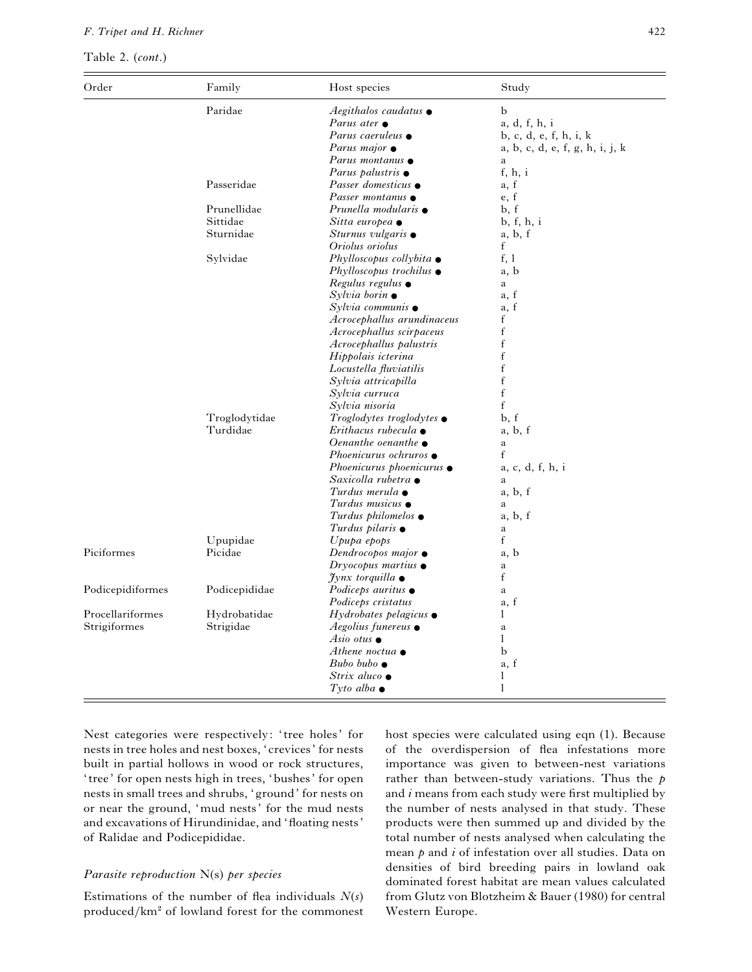## *F*. *Tripet and H*. *Richner* 422

Table 2. (*cont*.)

| Paridae<br>$A$ egithalos caudatus $\bullet$<br>b<br>Parus ater $\bullet$<br>a, d, f, h, i<br>b, c, d, e, f, h, i, k<br>Parus caeruleus $\bullet$<br>Parus major $\bullet$<br>a, b, c, d, e, f, g, h, i, j, k<br>Parus montanus $\bullet$<br>a<br>f, h, i<br>Parus palustris $\bullet$<br>Passeridae<br>Passer domesticus $\bullet$<br>a, f<br>e, f<br>Passer montanus $\bullet$<br>Prunellidae<br>b, f<br>Prunella modularis $\bullet$ |  |
|----------------------------------------------------------------------------------------------------------------------------------------------------------------------------------------------------------------------------------------------------------------------------------------------------------------------------------------------------------------------------------------------------------------------------------------|--|
|                                                                                                                                                                                                                                                                                                                                                                                                                                        |  |
|                                                                                                                                                                                                                                                                                                                                                                                                                                        |  |
|                                                                                                                                                                                                                                                                                                                                                                                                                                        |  |
|                                                                                                                                                                                                                                                                                                                                                                                                                                        |  |
|                                                                                                                                                                                                                                                                                                                                                                                                                                        |  |
|                                                                                                                                                                                                                                                                                                                                                                                                                                        |  |
|                                                                                                                                                                                                                                                                                                                                                                                                                                        |  |
|                                                                                                                                                                                                                                                                                                                                                                                                                                        |  |
|                                                                                                                                                                                                                                                                                                                                                                                                                                        |  |
| Sittidae<br>b, f, h, i<br>Sitta europea $\bullet$                                                                                                                                                                                                                                                                                                                                                                                      |  |
| Sturnidae<br>Sturnus vulgaris $\bullet$<br>a, b, f                                                                                                                                                                                                                                                                                                                                                                                     |  |
| Oriolus oriolus<br>f                                                                                                                                                                                                                                                                                                                                                                                                                   |  |
| f, 1<br>Sylvidae<br>Phylloscopus collybita $\bullet$                                                                                                                                                                                                                                                                                                                                                                                   |  |
| $Phylloscopy$ trochilus $\bullet$<br>a, b                                                                                                                                                                                                                                                                                                                                                                                              |  |
| Regulus regulus $\bullet$<br>a                                                                                                                                                                                                                                                                                                                                                                                                         |  |
| $Sylvia\,borin\bullet$<br>a, f                                                                                                                                                                                                                                                                                                                                                                                                         |  |
| $Sylvia$ communis $\bullet$<br>a, f                                                                                                                                                                                                                                                                                                                                                                                                    |  |
| f<br>Acrocephallus arundinaceus                                                                                                                                                                                                                                                                                                                                                                                                        |  |
| $\mathbf f$<br>Acrocephallus scirpaceus                                                                                                                                                                                                                                                                                                                                                                                                |  |
| $\mathbf f$<br>Acrocephallus palustris                                                                                                                                                                                                                                                                                                                                                                                                 |  |
| f<br>Hippolais icterina                                                                                                                                                                                                                                                                                                                                                                                                                |  |
| f<br>Locustella fluviatilis                                                                                                                                                                                                                                                                                                                                                                                                            |  |
| $\mathbf f$<br>Sylvia attricapilla                                                                                                                                                                                                                                                                                                                                                                                                     |  |
| f<br>Sylvia curruca                                                                                                                                                                                                                                                                                                                                                                                                                    |  |
| $\mathbf{f}$<br>Sylvia nisoria                                                                                                                                                                                                                                                                                                                                                                                                         |  |
| Troglodytidae<br>b, f<br>$Troglodvtes$ troglodytes $\bullet$                                                                                                                                                                                                                                                                                                                                                                           |  |
| Turdidae<br>a, b, f<br>Erithacus rubecula $\bullet$                                                                                                                                                                                                                                                                                                                                                                                    |  |
| Oenanthe oenanthe $\bullet$<br>$\rm{a}$                                                                                                                                                                                                                                                                                                                                                                                                |  |
| Phoenicurus ochruros $\bullet$<br>f                                                                                                                                                                                                                                                                                                                                                                                                    |  |
| a, c, d, f, h, i<br>Phoenicurus phoenicurus $\bullet$                                                                                                                                                                                                                                                                                                                                                                                  |  |
| Saxicolla rubetra $\bullet$<br>a                                                                                                                                                                                                                                                                                                                                                                                                       |  |
| Turdus merula $\bullet$<br>a, b, f                                                                                                                                                                                                                                                                                                                                                                                                     |  |
| Turdus musicus $\bullet$<br>a                                                                                                                                                                                                                                                                                                                                                                                                          |  |
| Turdus philomelos $\bullet$<br>a, b, f                                                                                                                                                                                                                                                                                                                                                                                                 |  |
| Turdus pilaris $\bullet$<br>a                                                                                                                                                                                                                                                                                                                                                                                                          |  |
| $\mathbf f$<br>Upupidae<br>$U$ pupa epops                                                                                                                                                                                                                                                                                                                                                                                              |  |
| Piciformes<br>Picidae<br>Dendrocopos major $\bullet$<br>a, b                                                                                                                                                                                                                                                                                                                                                                           |  |
| $Dryocopus$ martius $\bullet$<br>$\mathbf{a}$                                                                                                                                                                                                                                                                                                                                                                                          |  |
| f<br>$\int$ ynx torquilla $\bullet$                                                                                                                                                                                                                                                                                                                                                                                                    |  |
| Podicepidiformes<br>Podicepididae<br>Podiceps auritus $\bullet$<br>$\mathbf{a}$                                                                                                                                                                                                                                                                                                                                                        |  |
| Podiceps cristatus<br>a, f                                                                                                                                                                                                                                                                                                                                                                                                             |  |
| Procellariformes<br>Hydrobatidae<br>1<br>$Hydrobates$ pelagicus $\bullet$                                                                                                                                                                                                                                                                                                                                                              |  |
| Strigiformes<br>Strigidae<br>Aegolius funereus $\bullet$<br>$\mathbf{a}$                                                                                                                                                                                                                                                                                                                                                               |  |
| Asio otus $\bullet$<br>1                                                                                                                                                                                                                                                                                                                                                                                                               |  |
| b<br>Athene noctua $\bullet$                                                                                                                                                                                                                                                                                                                                                                                                           |  |
| Bubo bubo $\bullet$<br>a, f                                                                                                                                                                                                                                                                                                                                                                                                            |  |
| $Strix$ aluco $\bullet$<br>1                                                                                                                                                                                                                                                                                                                                                                                                           |  |
| 1<br>$Ty$ to alba $\bullet$                                                                                                                                                                                                                                                                                                                                                                                                            |  |

Nest categories were respectively: 'tree holes' for nests in tree holes and nest boxes, 'crevices' for nests built in partial hollows in wood or rock structures, 'tree' for open nests high in trees, 'bushes' for open nests in small trees and shrubs, 'ground' for nests on or near the ground, 'mud nests' for the mud nests and excavations of Hirundinidae, and 'floating nests' of Ralidae and Podicepididae.

# *Parasite reproduction* N(s) *per species*

Estimations of the number of flea individuals *N*(*s*) produced/ $km^2$  of lowland forest for the commonest host species were calculated using eqn (1). Because of the overdispersion of flea infestations more importance was given to between-nest variations rather than between-study variations. Thus the *p* and *i* means from each study were first multiplied by the number of nests analysed in that study. These products were then summed up and divided by the total number of nests analysed when calculating the mean *p* and *i* of infestation over all studies. Data on densities of bird breeding pairs in lowland oak dominated forest habitat are mean values calculated from Glutz von Blotzheim & Bauer (1980) for central Western Europe.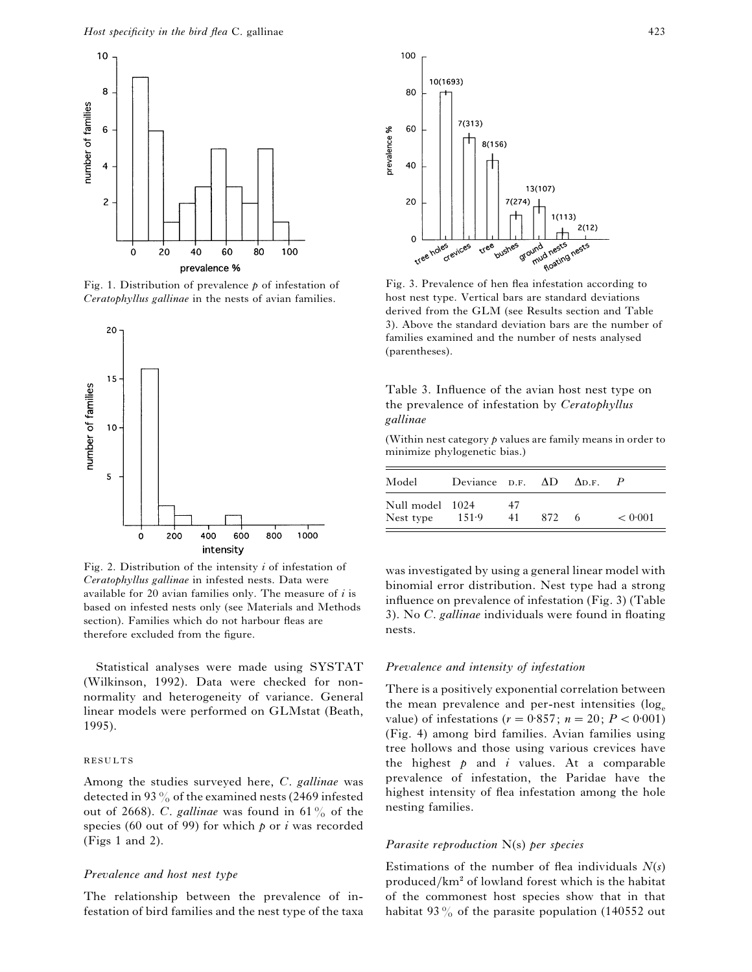

Fig. 1. Distribution of prevalence *p* of infestation of *Ceratophyllus gallinae* in the nests of avian families.



Fig. 2. Distribution of the intensity *i* of infestation of *Ceratophyllus gallinae* in infested nests. Data were available for 20 avian families only. The measure of *i* is based on infested nests only (see Materials and Methods section). Families which do not harbour fleas are therefore excluded from the figure.

Statistical analyses were made using SYSTAT (Wilkinson, 1992). Data were checked for nonnormality and heterogeneity of variance. General linear models were performed on GLMstat (Beath, 1995).

# **RESULTS**

Among the studies surveyed here, *C*. *gallinae* was detected in 93 $\%$  of the examined nests (2469 infested out of 2668). *C. gallinae* was found in 61 $\frac{\partial}{\partial 0}$  of the species (60 out of 99) for which *p* or *i* was recorded (Figs 1 and 2).

# *Prevalence and host nest type*

The relationship between the prevalence of infestation of bird families and the nest type of the taxa



Fig. 3. Prevalence of hen flea infestation according to host nest type. Vertical bars are standard deviations derived from the GLM (see Results section and Table 3). Above the standard deviation bars are the number of families examined and the number of nests analysed (parentheses).

Table 3. Influence of the avian host nest type on the prevalence of infestation by *Ceratophyllus gallinae*

(Within nest category *p* values are family means in order to minimize phylogenetic bias.)

| Model                        | Deviance $D.F. \Delta D$ |          |     | AD.F. |         |
|------------------------------|--------------------------|----------|-----|-------|---------|
| Null model 1024<br>Nest type | 151.9                    | 47<br>41 | 872 | 6     | < 0.001 |

was investigated by using a general linear model with binomial error distribution. Nest type had a strong influence on prevalence of infestation (Fig. 3) (Table 3). No *C*. *gallinae* individuals were found in floating nests.

# *Prevalence and intensity of infestation*

There is a positively exponential correlation between the mean prevalence and per-nest intensities ( $log_e$  value) of infestations ( $r = 0.857$ ;  $n = 20$ ;  $P < 0.001$ ) (Fig. 4) among bird families. Avian families using tree hollows and those using various crevices have the highest  $p$  and  $i$  values. At a comparable prevalence of infestation, the Paridae have the highest intensity of flea infestation among the hole nesting families.

# *Parasite reproduction* N(s) *per species*

Estimations of the number of flea individuals *N*(*s*) produced/ $km^2$  of lowland forest which is the habitat of the commonest host species show that in that habitat 93% of the parasite population (140552 out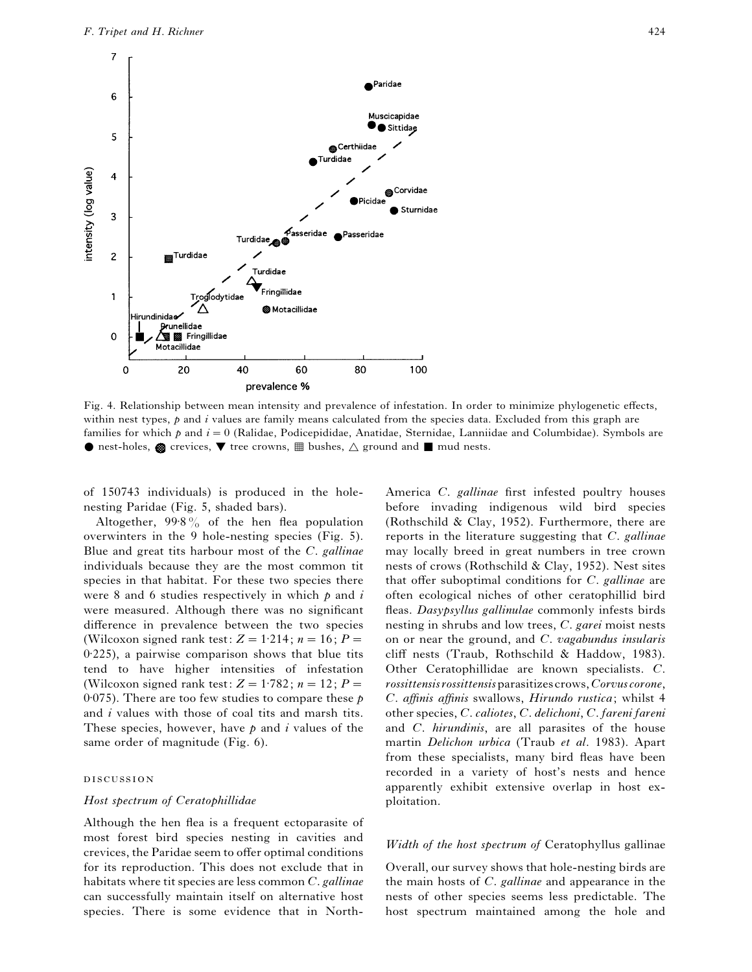

Fig. 4. Relationship between mean intensity and prevalence of infestation. In order to minimize phylogenetic effects, within nest types,  $p$  and *i* values are family means calculated from the species data. Excluded from this graph are families for which *p* and *i* = 0 (Ralidae, Podicepididae, Anatidae, Sternidae, Lanniidae and Columbidae). Symbols are  $\bullet$  nest-holes,  $\bullet$  crevices,  $\blacktriangledown$  tree crowns,  $\boxplus$  bushes,  $\triangle$  ground and  $\blacksquare$  mud nests.

of 150743 individuals) is produced in the holenesting Paridae (Fig. 5, shaded bars).

Altogether,  $99.8\%$  of the hen flea population overwinters in the 9 hole-nesting species (Fig. 5). Blue and great tits harbour most of the *C*. *gallinae* individuals because they are the most common tit species in that habitat. For these two species there were 8 and 6 studies respectively in which *p* and *i* were measured. Although there was no significant difference in prevalence between the two species (Wilcoxon signed rank test:  $Z = 1:214$ ;  $n = 16$ ;  $P =$ 0±225), a pairwise comparison shows that blue tits tend to have higher intensities of infestation (Wilcoxon signed rank test:  $Z = 1.782$ ;  $n = 12$ ;  $P =$ 0±075). There are too few studies to compare these *p* and *i* values with those of coal tits and marsh tits. These species, however, have *p* and *i* values of the same order of magnitude (Fig. 6).

## **DISCUSSION**

## *Host spectrum of Ceratophillidae*

Although the hen flea is a frequent ectoparasite of most forest bird species nesting in cavities and crevices, the Paridae seem to offer optimal conditions for its reproduction. This does not exclude that in habitats where tit species are less common *C*. *gallinae* can successfully maintain itself on alternative host species. There is some evidence that in NorthAmerica *C*. *gallinae* first infested poultry houses before invading indigenous wild bird species (Rothschild & Clay, 1952). Furthermore, there are reports in the literature suggesting that *C*. *gallinae* may locally breed in great numbers in tree crown nests of crows (Rothschild & Clay, 1952). Nest sites that offer suboptimal conditions for *C*. *gallinae* are often ecological niches of other ceratophillid bird fleas. *Dasypsyllus gallinulae* commonly infests birds nesting in shrubs and low trees, *C*. *garei* moist nests on or near the ground, and *C*. *vagabundus insularis* cliff nests (Traub, Rothschild & Haddow, 1983). Other Ceratophillidae are known specialists. *C*. *rossittensisrossittensis*parasitizescrows,*Corvuscorone*, *C*. *affinis affinis* swallows, *Hirundo rustica*; whilst 4 other species, *C*. *caliotes*, *C*. *delichoni*, *C*. *fareni fareni* and *C*. *hirundinis*, are all parasites of the house martin *Delichon urbica* (Traub *et al*. 1983). Apart from these specialists, many bird fleas have been recorded in a variety of host's nests and hence apparently exhibit extensive overlap in host exploitation.

## *Width of the host spectrum of* Ceratophyllus gallinae

Overall, our survey shows that hole-nesting birds are the main hosts of *C*. *gallinae* and appearance in the nests of other species seems less predictable. The host spectrum maintained among the hole and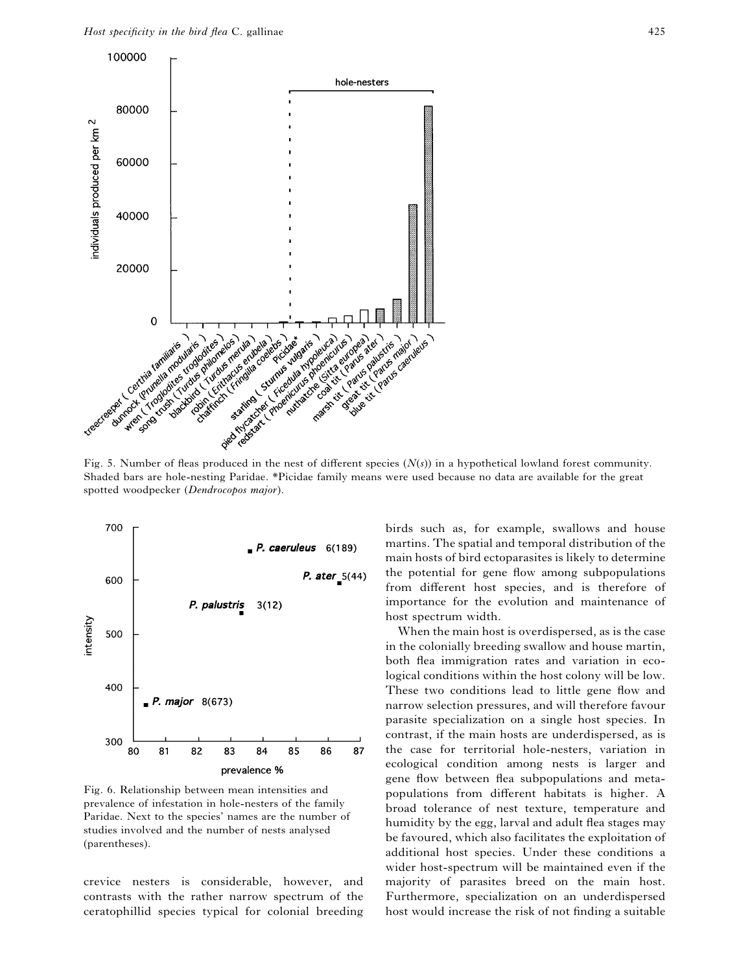

Fig. 5. Number of fleas produced in the nest of different species  $(N(s))$  in a hypothetical lowland forest community. Shaded bars are hole-nesting Paridae. \*Picidae family means were used because no data are available for the great spotted woodpecker (*Dendrocopos major*).



Fig. 6. Relationship between mean intensities and prevalence of infestation in hole-nesters of the family Paridae. Next to the species' names are the number of studies involved and the number of nests analysed (parentheses).

crevice nesters is considerable, however, and contrasts with the rather narrow spectrum of the ceratophillid species typical for colonial breeding

birds such as, for example, swallows and house martins. The spatial and temporal distribution of the main hosts of bird ectoparasites is likely to determine the potential for gene flow among subpopulations from different host species, and is therefore of importance for the evolution and maintenance of host spectrum width.

When the main host is overdispersed, as is the case in the colonially breeding swallow and house martin, both flea immigration rates and variation in ecological conditions within the host colony will be low. These two conditions lead to little gene flow and narrow selection pressures, and will therefore favour parasite specialization on a single host species. In contrast, if the main hosts are underdispersed, as is the case for territorial hole-nesters, variation in ecological condition among nests is larger and gene flow between flea subpopulations and metapopulations from different habitats is higher. A broad tolerance of nest texture, temperature and humidity by the egg, larval and adult flea stages may be favoured, which also facilitates the exploitation of additional host species. Under these conditions a wider host-spectrum will be maintained even if the majority of parasites breed on the main host. Furthermore, specialization on an underdispersed host would increase the risk of not finding a suitable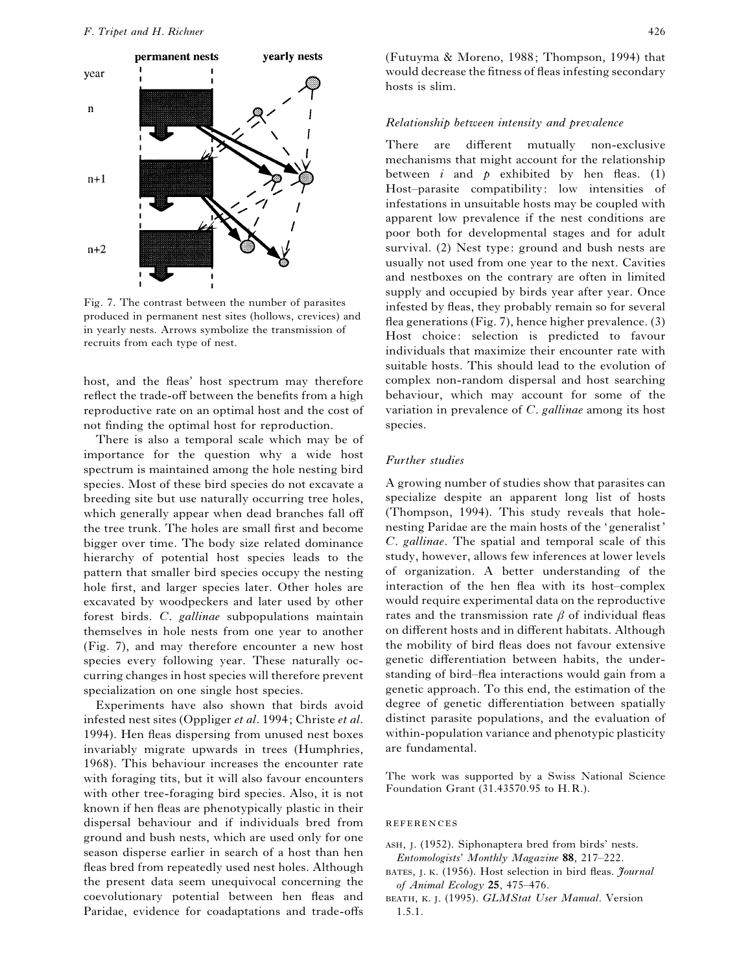

Fig. 7. The contrast between the number of parasites produced in permanent nest sites (hollows, crevices) and in yearly nests. Arrows symbolize the transmission of recruits from each type of nest.

host, and the fleas' host spectrum may therefore reflect the trade-off between the benefits from a high reproductive rate on an optimal host and the cost of not finding the optimal host for reproduction.

There is also a temporal scale which may be of importance for the question why a wide host spectrum is maintained among the hole nesting bird species. Most of these bird species do not excavate a breeding site but use naturally occurring tree holes, which generally appear when dead branches fall off the tree trunk. The holes are small first and become bigger over time. The body size related dominance hierarchy of potential host species leads to the pattern that smaller bird species occupy the nesting hole first, and larger species later. Other holes are excavated by woodpeckers and later used by other forest birds. *C*. *gallinae* subpopulations maintain themselves in hole nests from one year to another (Fig. 7), and may therefore encounter a new host species every following year. These naturally occurring changes in host species will therefore prevent specialization on one single host species.

Experiments have also shown that birds avoid infested nest sites (Oppliger *et al*. 1994; Christe *et al*. 1994). Hen fleas dispersing from unused nest boxes invariably migrate upwards in trees (Humphries, 1968). This behaviour increases the encounter rate with foraging tits, but it will also favour encounters with other tree-foraging bird species. Also, it is not known if hen fleas are phenotypically plastic in their dispersal behaviour and if individuals bred from ground and bush nests, which are used only for one season disperse earlier in search of a host than hen fleas bred from repeatedly used nest holes. Although the present data seem unequivocal concerning the coevolutionary potential between hen fleas and Paridae, evidence for coadaptations and trade-offs

(Futuyma & Moreno, 1988; Thompson, 1994) that would decrease the fitness of fleas infesting secondary hosts is slim.

## *Relationship between intensity and prevalence*

There are different mutually non-exclusive mechanisms that might account for the relationship between  $i$  and  $p$  exhibited by hen fleas. (1) Host–parasite compatibility: low intensities of infestations in unsuitable hosts may be coupled with apparent low prevalence if the nest conditions are poor both for developmental stages and for adult survival. (2) Nest type: ground and bush nests are usually not used from one year to the next. Cavities and nestboxes on the contrary are often in limited supply and occupied by birds year after year. Once infested by fleas, they probably remain so for several flea generations (Fig. 7), hence higher prevalence. (3) Host choice: selection is predicted to favour individuals that maximize their encounter rate with suitable hosts. This should lead to the evolution of complex non-random dispersal and host searching behaviour, which may account for some of the variation in prevalence of *C*. *gallinae* among its host species.

# *Further studies*

A growing number of studies show that parasites can specialize despite an apparent long list of hosts (Thompson, 1994). This study reveals that holenesting Paridae are the main hosts of the 'generalist' *C*. *gallinae*. The spatial and temporal scale of this study, however, allows few inferences at lower levels of organization. A better understanding of the interaction of the hen flea with its host–complex would require experimental data on the reproductive rates and the transmission rate  $\beta$  of individual fleas on different hosts and in different habitats. Although the mobility of bird fleas does not favour extensive genetic differentiation between habits, the understanding of bird–flea interactions would gain from a genetic approach. To this end, the estimation of the degree of genetic differentiation between spatially distinct parasite populations, and the evaluation of within-population variance and phenotypic plasticity are fundamental.

The work was supported by a Swiss National Science Foundation Grant (31.43570.95 to H.R.).

## **REFERENCES**

- ASH, J. (1952). Siphonaptera bred from birds' nests. *Entomologists*' *Monthly Magazine* **88**, 217–222.
- BATES, J. K. (1956). Host selection in bird fleas. *Journal of Animal Ecology* **25**, 475–476.
- BEATH, K. J. (1995). *GLMStat User Manual*. Version 1.5.1.